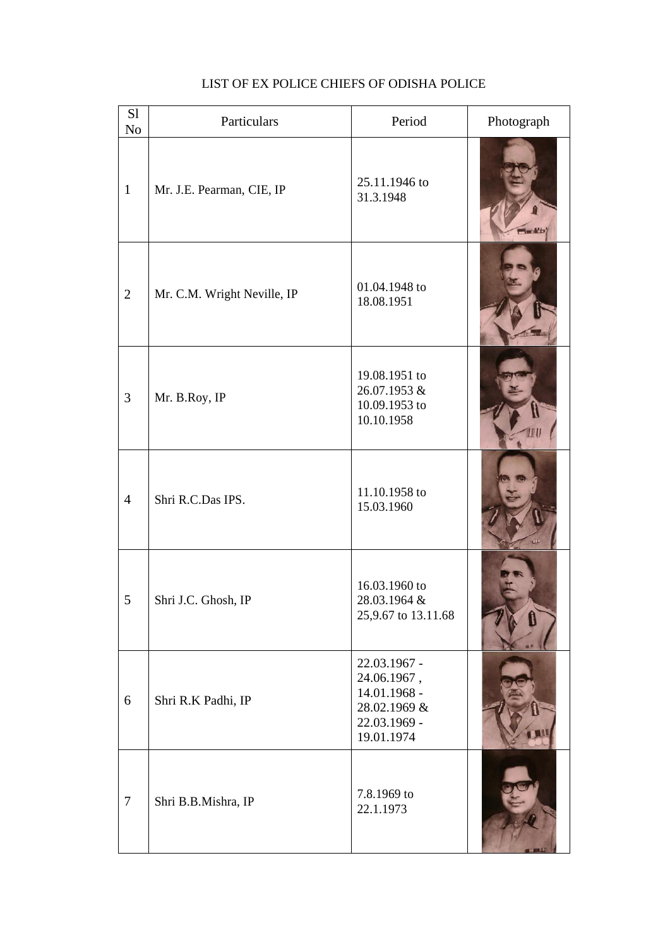| S1<br>N <sub>o</sub> | Particulars                 | Period                                                                                    | Photograph |
|----------------------|-----------------------------|-------------------------------------------------------------------------------------------|------------|
| $\mathbf{1}$         | Mr. J.E. Pearman, CIE, IP   | 25.11.1946 to<br>31.3.1948                                                                |            |
| $\mathbf{2}$         | Mr. C.M. Wright Neville, IP | 01.04.1948 to<br>18.08.1951                                                               |            |
| 3                    | Mr. B.Roy, IP               | 19.08.1951 to<br>26.07.1953 &<br>10.09.1953 to<br>10.10.1958                              |            |
| $\overline{4}$       | Shri R.C.Das IPS.           | 11.10.1958 to<br>15.03.1960                                                               |            |
| 5                    | Shri J.C. Ghosh, IP         | 16.03.1960 to<br>28.03.1964 &<br>25,9.67 to 13.11.68                                      |            |
| 6                    | Shri R.K Padhi, IP          | 22.03.1967 -<br>24.06.1967,<br>14.01.1968 -<br>28.02.1969 &<br>22.03.1969 -<br>19.01.1974 |            |
| $\tau$               | Shri B.B.Mishra, IP         | 7.8.1969 to<br>22.1.1973                                                                  |            |

## LIST OF EX POLICE CHIEFS OF ODISHA POLICE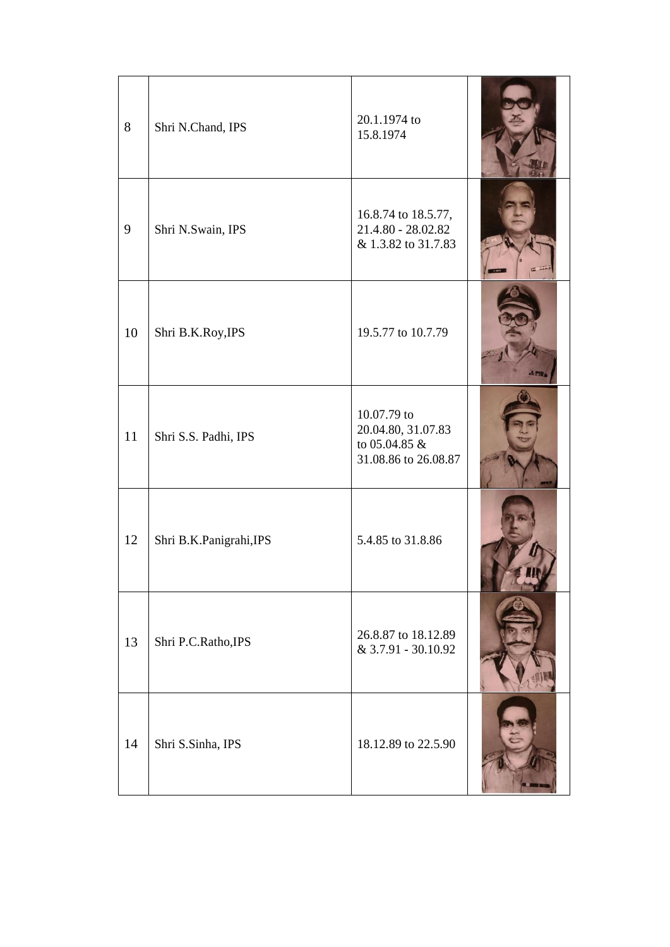| 8  | Shri N.Chand, IPS       | 20.1.1974 to<br>15.8.1974                                                  |  |
|----|-------------------------|----------------------------------------------------------------------------|--|
| 9  | Shri N.Swain, IPS       | 16.8.74 to 18.5.77,<br>21.4.80 - 28.02.82<br>& 1.3.82 to 31.7.83           |  |
| 10 | Shri B.K.Roy, IPS       | 19.5.77 to 10.7.79                                                         |  |
| 11 | Shri S.S. Padhi, IPS    | 10.07.79 to<br>20.04.80, 31.07.83<br>to 05.04.85 &<br>31.08.86 to 26.08.87 |  |
| 12 | Shri B.K.Panigrahi, IPS | 5.4.85 to 31.8.86                                                          |  |
| 13 | Shri P.C.Ratho, IPS     | 26.8.87 to 18.12.89<br>& 3.7.91 - 30.10.92                                 |  |
| 14 | Shri S.Sinha, IPS       | 18.12.89 to 22.5.90                                                        |  |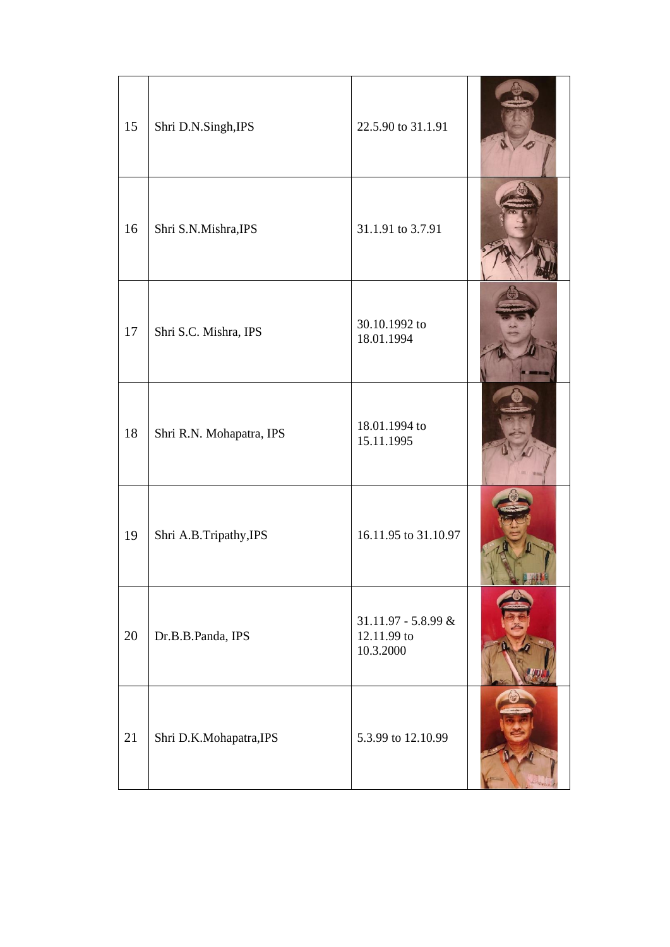| 15 | Shri D.N.Singh, IPS      | 22.5.90 to 31.1.91                                |  |
|----|--------------------------|---------------------------------------------------|--|
| 16 | Shri S.N.Mishra, IPS     | 31.1.91 to 3.7.91                                 |  |
| 17 | Shri S.C. Mishra, IPS    | 30.10.1992 to<br>18.01.1994                       |  |
| 18 | Shri R.N. Mohapatra, IPS | 18.01.1994 to<br>15.11.1995                       |  |
| 19 | Shri A.B.Tripathy, IPS   | 16.11.95 to 31.10.97                              |  |
| 20 | Dr.B.B.Panda, IPS        | 31.11.97 - 5.8.99 $&$<br>12.11.99 to<br>10.3.2000 |  |
| 21 | Shri D.K.Mohapatra, IPS  | 5.3.99 to 12.10.99                                |  |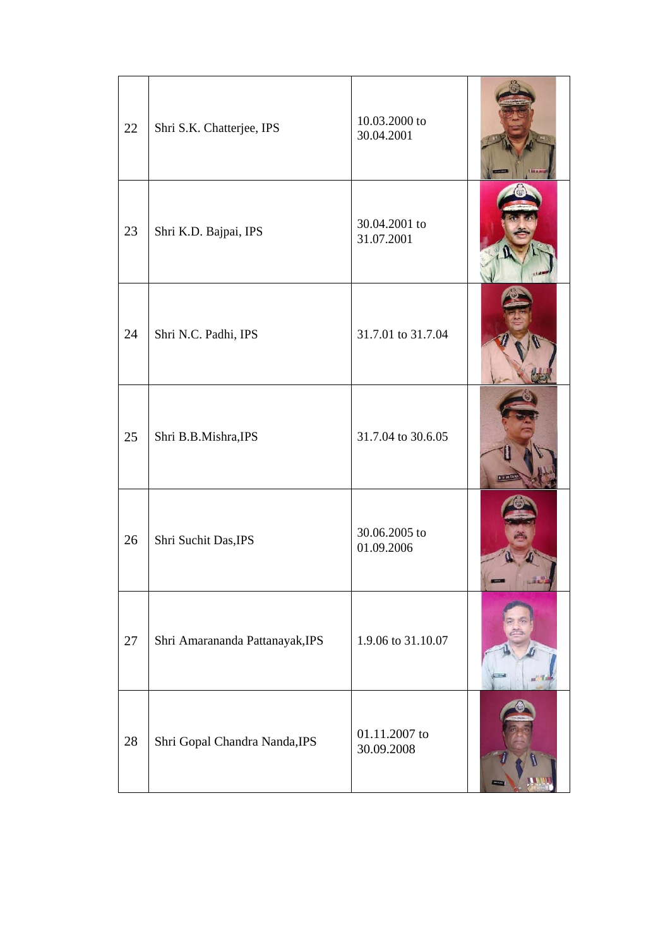| 22 | Shri S.K. Chatterjee, IPS       | 10.03.2000 to<br>30.04.2001 |  |
|----|---------------------------------|-----------------------------|--|
| 23 | Shri K.D. Bajpai, IPS           | 30.04.2001 to<br>31.07.2001 |  |
| 24 | Shri N.C. Padhi, IPS            | 31.7.01 to 31.7.04          |  |
| 25 | Shri B.B.Mishra, IPS            | 31.7.04 to 30.6.05          |  |
| 26 | Shri Suchit Das, IPS            | 30.06.2005 to<br>01.09.2006 |  |
| 27 | Shri Amarananda Pattanayak, IPS | 1.9.06 to 31.10.07          |  |
| 28 | Shri Gopal Chandra Nanda, IPS   | 01.11.2007 to<br>30.09.2008 |  |